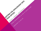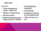## OBJECTIVES:

### Focus On:

- Panel Management/ Recall – Reach Out!
- Making the Appointment
- Reminder system
- Missed Appts: Reschedule! Forgive but DON'T FORGET!
- The Waiting Room **Experience**
- Confidentiality
- Following Up/ Making the Next Appointment
- "Catch me when you can"

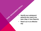- **PRELAIRER RECALL**<br> **Identify your adolescent**<br>
patients who need to be<br>
seen (Gap in Care Report) patients who need to be seen (Gap in Care Reports)
	- Reach out in an effective way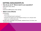# GETTING ADOLESCENTS IN

#### How do you do it? What is best for your population?

- Mail (post cards, letters)
- Phone
- Electronic (EMR portal, email, texting)

#### • Make it more effective

- Personalize
	- use names,
	- "Dr X is looking forward to seeing you".
	- talk about the specific visit, what happens during a 12, 15, 18 year check
	- explain your confidentiality policy
- Bundle other messages (new provider, weekend hours, flu clinics; new schedule for HPV!)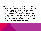We haven't seen Sarah in awhile! Why not schedule her 13 year check up now? Did you know that if she gets her HPV vaccine NOW she will only need 2 doses instead of 3? During this visit you will have an opportunity to have your questions answered about parenting a teen, plus Sara will have private time with Dr X so she can ask her own questions. No topic is off limits! Remember that this check up can be used for Sarah's Sports Clearance for next season.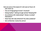Here are some of the topics Dr X will cover at Tony's 15 year check up:

- How are things going at home? At school?
- Eating healthy? Getting enough activity? Sleeping OK?
- Any problems with relationships? Stress or anxiety? Depression?
- Need help with risky behaviors? Any other problems?
- Get confidential, trustworthy advice!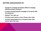# GETTING ADOLESCENTS IN

- Change the message periodically (different message, different postcard, whatever)
- Consider sending separate messages to the parent AND the adolescent
- Repeat!! Don't give up!
- Prioritize (most overdue, chronic illness, other risks)
- Consider setting aside time to schedule these visits sooner rather than later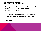# BE CREATIVE WITH RECALL

- Post signs in your office so parents and adolescents in for other visits will be reminded to make an appointment for a check-up
- Check at EVERY visit an adolescent has to see if they need to schedule an appointment for a check –up!
- Other ideas????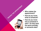

- How do you know what to schedule?
- How do you know who to schedule it with? Do they want the same provider, or someone else?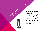

- post card?
- Who does it go to?
- Who does it? Robo call? Office staff?
- How do you handle last minute cancellations?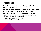# REMINDERS

- Maintain accurate contact info, including youth! (and alternate contacts if appropriate)
- Use the technology that fits family/youth needs: phone, letter, text. May need more than one system in your office.
- Use "*Reminder Plus*" for visits most likely to be missed
	- Personalize: Use patient name; Dr X is looking forward to seeing you
	- List needed immunizations, screening tests
	- What happens during an "X" year check up
	- What's in it for YOU (parent and adolescent)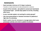# REMINDERS

- Send reminder minimum of 2-3 days in advance
	- Consider 1-2 week lead time for visits scheduled far in advance
- As part of the reminder, ask patient to cancel and reschedule inconvenient appt – provide easy system to do this, including after hours
- Is your reminder system not working for certain groups?
- Use more personalized or intensive reminder for patients at high risk of no-showing
- Build in admin time for clinicians to manage tasks which were previously routinely cone when a patient no-showed.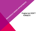# RESCHEDULE MISSED APPOINTMENTS FORGET!!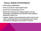# RECALL MISSED APPOINTMENTS

- THIS IS REALLY IMPORTANT!!
- Follow up quickly for missed appointments
- Be kind and understanding, but firm!
- Remind them what they are missing (needed imms and screenings, confidential time with provider to ask questions, clearance for sports, etc)
- Consider "holding" times convenient for youth to use for more "open" scheduling (rather than punishing those who need to reschedule by making them wait another 3 months!)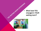# THE WATTING ROOM EXPERIENCE<br>
What have YOU<br>
changed in YOU<br>
waiting room? changed in YOUR waiting room?

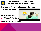

UNIVERSITY OF MICHIGAN ADOLESCENT HEALTH INITIATIVE: YOUTH DRIVEN VIDEOS

# Drawing a Picture: Adolescent Centered Medical Homes

#### Others Videos Include:

- **Health Experts Meet Teen Experts**
- **Helping Your Teen Navigate Healthcare**
- **Teen Self Advocacy**
- **Voices of Transgender Adolescents in Healthcare**

<https://www.youtube.com/watch?v=vAu5ad827I8&feature=youtu.be>

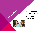

- What changes have YOU made?
- What would you like to try?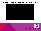#### ENGAGING ADOLESCENTS: KEEP IT CONFIDENTIAL



[https://www.communitycarenc.org/population-management/pediatrics/engaging](https://www.communitycarenc.org/population-management/pediatrics/engaging-adolescents/engaging-adolescents-keep-it-confidential/)adolescents/engaging-adolescents-keep-it-confidential/



video credit: Community Care of North Carolina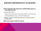# DISCUSS CONFIDENTIALITY IN ADVANCE

#### Inform parents/youth about the confidentiality policy up front before a visit.

- Send a letter home:
	- Detail when parent will or will not be included in the clinical visit.
	- Discuss billing issues (e.g., routine STI testing, etc.).
- Display materials discussing importance of doctor/patient confidentiality.

#### Make sure support staff are trained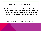#### OUR POLICY ON CONFIDENTIALITY

Our discussions with you are private. We hope that you feel free to talk openly with us about yourself and your health. Information is not shared with other people unless we are concerned that someone is in danger.

#### Sample statement developed by URMC Department of Pediatrics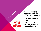

- Make next year's appointment NOW! (so you can REMIND!)
- How do you handle follow up conversations?
- How do you assure confidentiality?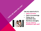#### Use any opportunity to:

Catch up imms

«CATCH ME WHEN YOU CAN!"

- Catch up screenings
- Follow up on identified risks
- Reinforce strengths
- Do you need to schedule a well visit?